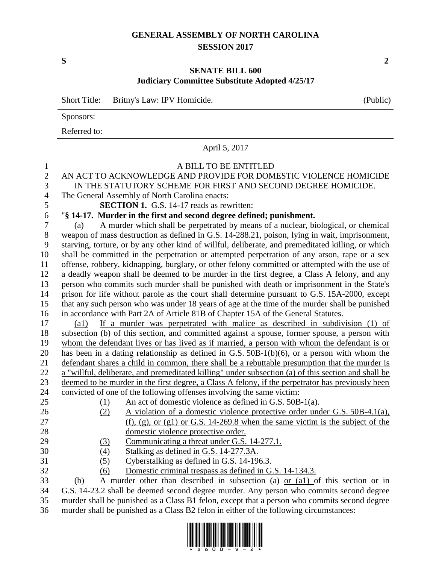## **GENERAL ASSEMBLY OF NORTH CAROLINA SESSION 2017**

**S 2**

## **SENATE BILL 600 Judiciary Committee Substitute Adopted 4/25/17**

|                                                 | <b>Short Title:</b><br>Britny's Law: IPV Homicide.<br>(Public)                                                                                                                                                                                                                                   |  |  |  |  |
|-------------------------------------------------|--------------------------------------------------------------------------------------------------------------------------------------------------------------------------------------------------------------------------------------------------------------------------------------------------|--|--|--|--|
|                                                 | Sponsors:                                                                                                                                                                                                                                                                                        |  |  |  |  |
|                                                 | Referred to:                                                                                                                                                                                                                                                                                     |  |  |  |  |
|                                                 | April 5, 2017                                                                                                                                                                                                                                                                                    |  |  |  |  |
| 1<br>$\overline{2}$<br>3<br>$\overline{4}$<br>5 | A BILL TO BE ENTITLED<br>AN ACT TO ACKNOWLEDGE AND PROVIDE FOR DOMESTIC VIOLENCE HOMICIDE<br>IN THE STATUTORY SCHEME FOR FIRST AND SECOND DEGREE HOMICIDE.<br>The General Assembly of North Carolina enacts:<br><b>SECTION 1.</b> G.S. 14-17 reads as rewritten:                                 |  |  |  |  |
| 6                                               | "§ 14-17. Murder in the first and second degree defined; punishment.                                                                                                                                                                                                                             |  |  |  |  |
| 7<br>$8\,$<br>9                                 | A murder which shall be perpetrated by means of a nuclear, biological, or chemical<br>(a)<br>weapon of mass destruction as defined in G.S. 14-288.21, poison, lying in wait, imprisonment,<br>starving, torture, or by any other kind of willful, deliberate, and premeditated killing, or which |  |  |  |  |
| 10                                              | shall be committed in the perpetration or attempted perpetration of any arson, rape or a sex                                                                                                                                                                                                     |  |  |  |  |
| 11                                              | offense, robbery, kidnapping, burglary, or other felony committed or attempted with the use of                                                                                                                                                                                                   |  |  |  |  |
| 12                                              | a deadly weapon shall be deemed to be murder in the first degree, a Class A felony, and any                                                                                                                                                                                                      |  |  |  |  |
| 13                                              | person who commits such murder shall be punished with death or imprisonment in the State's                                                                                                                                                                                                       |  |  |  |  |
| 14                                              | prison for life without parole as the court shall determine pursuant to G.S. 15A-2000, except                                                                                                                                                                                                    |  |  |  |  |
| 15                                              | that any such person who was under 18 years of age at the time of the murder shall be punished                                                                                                                                                                                                   |  |  |  |  |
| 16                                              | in accordance with Part 2A of Article 81B of Chapter 15A of the General Statutes.                                                                                                                                                                                                                |  |  |  |  |
| 17                                              | If a murder was perpetrated with malice as described in subdivision (1) of<br>$\left( a1\right)$                                                                                                                                                                                                 |  |  |  |  |
| 18                                              | subsection (b) of this section, and committed against a spouse, former spouse, a person with                                                                                                                                                                                                     |  |  |  |  |
| 19                                              | whom the defendant lives or has lived as if married, a person with whom the defendant is or                                                                                                                                                                                                      |  |  |  |  |
| 20                                              | has been in a dating relationship as defined in G.S. 50B-1(b)(6), or a person with whom the                                                                                                                                                                                                      |  |  |  |  |
| 21                                              | defendant shares a child in common, there shall be a rebuttable presumption that the murder is                                                                                                                                                                                                   |  |  |  |  |
| 22<br>23                                        | a "willful, deliberate, and premeditated killing" under subsection (a) of this section and shall be<br>deemed to be murder in the first degree, a Class A felony, if the perpetrator has previously been                                                                                         |  |  |  |  |
| 24                                              | convicted of one of the following offenses involving the same victim:                                                                                                                                                                                                                            |  |  |  |  |
| 25                                              | An act of domestic violence as defined in G.S. 50B-1(a).<br>(1)                                                                                                                                                                                                                                  |  |  |  |  |
| 26                                              | A violation of a domestic violence protective order under G.S. 50B-4.1(a),<br>(2)                                                                                                                                                                                                                |  |  |  |  |
| 27                                              | $(f)$ , (g), or (g1) or G.S. 14-269.8 when the same victim is the subject of the                                                                                                                                                                                                                 |  |  |  |  |
| 28                                              | domestic violence protective order.                                                                                                                                                                                                                                                              |  |  |  |  |
| 29                                              | Communicating a threat under G.S. 14-277.1.<br><u>(3)</u>                                                                                                                                                                                                                                        |  |  |  |  |
| 30                                              | (4)<br>Stalking as defined in G.S. 14-277.3A.                                                                                                                                                                                                                                                    |  |  |  |  |
| 31                                              | Cyberstalking as defined in G.S. 14-196.3.<br>(5)                                                                                                                                                                                                                                                |  |  |  |  |
| 32                                              | Domestic criminal trespass as defined in G.S. 14-134.3.<br>(6)                                                                                                                                                                                                                                   |  |  |  |  |
| 33                                              | A murder other than described in subsection (a) or (al) of this section or in<br>(b)                                                                                                                                                                                                             |  |  |  |  |
| 34                                              | G.S. 14-23.2 shall be deemed second degree murder. Any person who commits second degree                                                                                                                                                                                                          |  |  |  |  |
|                                                 |                                                                                                                                                                                                                                                                                                  |  |  |  |  |

35 murder shall be punished as a Class B1 felon, except that a person who commits second degree 36 murder shall be punished as a Class B2 felon in either of the following circumstances: